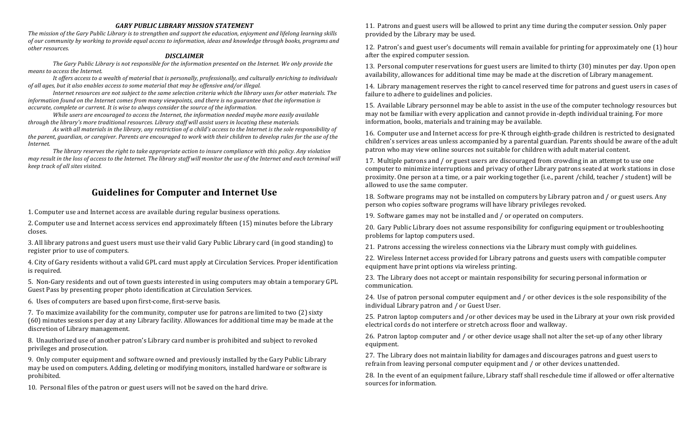#### *GARY PUBLIC LIBRARY MISSION STATEMENT*

The mission of the Gary Public Library is to strengthen and support the education, enjoyment and lifelong learning skills *of* our community by working to provide equal access to information, ideas and knowledge through books, programs and *other resources.*

#### *DISCLAIMER*

The Gary Public Library is not responsible for the information presented on the Internet. We only provide the *means to access the Internet.*

It offers access to a wealth of material that is personally, professionally, and culturally enriching to individuals *of all ages, but it also enables access to some material that may be offensive and/or illegal.* 

*Internet resources are not subject to the same selection criteria which the library uses for other materials. The information found on the Internet comes from many viewpoints, and there is no guarantee that the information is accurate, complete or current. It is wise to always consider the source of the information.* 

*While users are encouraged to access the Internet, the information needed maybe more easily available through the library's more traditional resources. Library staff will assist users in locating these materials.* 

As with all materials in the library, any restriction of a child's access to the Internet is the sole responsibility of *the parent, guardian, or caregiver. Parents are encouraged to work with their children to develop rules for the use of the Internet.*

The library reserves the right to take appropriate action to insure compliance with this policy. Any violation *may result in the loss of access to the Internet. The library staff will monitor the use of the Internet and each terminal will keep track of all sites visited.*

# **Guidelines for Computer and Internet Use**

1. Computer use and Internet access are available during regular business operations.

2. Computer use and Internet access services end approximately fifteen (15) minutes before the Library closes.

3. All library patrons and guest users must use their valid Gary Public Library card (in good standing) to register prior to use of computers.

4. City of Gary residents without a valid GPL card must apply at Circulation Services. Proper identification is required.

5. Non-Gary residents and out of town guests interested in using computers may obtain a temporary GPL Guest Pass by presenting proper photo identification at Circulation Services.

6. Uses of computers are based upon first-come, first-serve basis.

7. To maximize availability for the community, computer use for patrons are limited to two (2) sixty (60) minutes sessions per day at any Library facility. Allowances for additional time may be made at the discretion of Library management.

8. Unauthorized use of another patron's Library card number is prohibited and subject to revoked privileges and prosecution.

9. Only computer equipment and software owned and previously installed by the Gary Public Library may be used on computers. Adding, deleting or modifying monitors, installed hardware or software is prohibited.

10. Personal files of the patron or guest users will not be saved on the hard drive.

11. Patrons and guest users will be allowed to print any time during the computer session. Only paper provided by the Library may be used.

12. Patron's and guest user's documents will remain available for printing for approximately one (1) hour after the expired computer session.

13. Personal computer reservations for guest users are limited to thirty (30) minutes per day. Upon open availability, allowances for additional time may be made at the discretion of Library management.

14. Library management reserves the right to cancel reserved time for patrons and guest users in cases of failure to adhere to guidelines and policies.

15. Available Library personnel may be able to assist in the use of the computer technology resources but may not be familiar with every application and cannot provide in-depth individual training. For more information, books, materials and training may be available.

16. Computer use and Internet access for pre-K through eighth-grade children is restricted to designated children's services areas unless accompanied by a parental guardian. Parents should be aware of the adult patron who may view online sources not suitable for children with adult material content.

17. Multiple patrons and / or guest users are discouraged from crowding in an attempt to use one computer to minimize interruptions and privacy of other Library patrons seated at work stations in close proximity. One person at a time, or a pair working together (i.e., parent /child, teacher / student) will be allowed to use the same computer.

18. Software programs may not be installed on computers by Library patron and / or guest users. Any person who copies software programs will have library privileges revoked.

19. Software games may not be installed and / or operated on computers.

20. Gary Public Library does not assume responsibility for configuring equipment or troubleshooting problems for laptop computers used.

21. Patrons accessing the wireless connections via the Library must comply with guidelines.

22. Wireless Internet access provided for Library patrons and guests users with compatible computer equipment have print options via wireless printing.

23. The Library does not accept or maintain responsibility for securing personal information or communication.

24. Use of patron personal computer equipment and / or other devices is the sole responsibility of the individual Library patron and / or Guest User.

25. Patron laptop computers and /or other devices may be used in the Library at your own risk provided electrical cords do not interfere or stretch across floor and walkway.

26. Patron laptop computer and / or other device usage shall not alter the set-up of any other library equipment.

27. The Library does not maintain liability for damages and discourages patrons and guest users to refrain from leaving personal computer equipment and / or other devices unattended.

28. In the event of an equipment failure, Library staff shall reschedule time if allowed or offer alternative sources for information